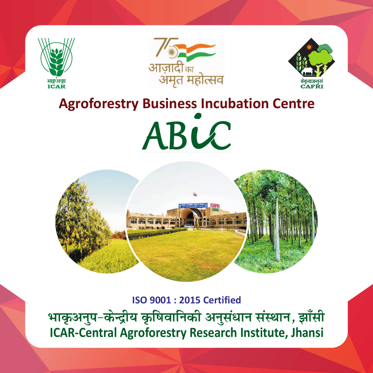





# **Agroforestry Business Incubation Centre** ABUC



**ISO 9001: 2015 Certified** भाकृअनुप-केन्द्रीय कृषिवानिकी अनुसंधान संस्थान, झाँसी **ICAR-Central Agroforestry Research Institute, Jhansi**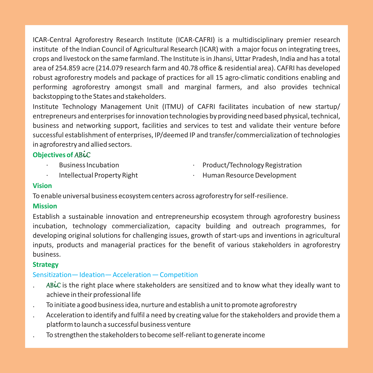ICAR-Central Agroforestry Research Institute (ICAR-CAFRI) is a multidisciplinary premier research institute of the Indian Council of Agricultural Research (ICAR) with a major focus on integrating trees, crops and livestock on the same farmland. The Institute is in Jhansi, Uttar Pradesh, India and has a total area of 254.859 acre (214.079 research farm and 40.78 office & residential area). CAFRI has developed robust agroforestry models and package of practices for all 15 agro-climatic conditions enabling and performing agroforestry amongst small and marginal farmers, and also provides technical backstopping to the States and stakeholders.

Institute Technology Management Unit (ITMU) of CAFRI facilitates incubation of new startup/ entrepreneurs and enterprises for innovation technologies by providing need based physical, technical, business and networking support, facilities and services to test and validate their venture before successful establishment of enterprises, IP/deemed IP and transfer/commercialization of technologies in agroforestry and allied sectors.

# **Objectives of**

- 
- · Business Incubation · Product/Technology Registration
- - · Intellectual Property Right · Human Resource Development

#### **Vision**

To enable universal business ecosystem centers across agroforestry for self-resilience.

#### **Mission**

Establish a sustainable innovation and entrepreneurship ecosystem through agroforestry business incubation, technology commercialization, capacity building and outreach programmes, for developing original solutions for challenging issues, growth of start-ups and inventions in agricultural inputs, products and managerial practices for the benefit of various stakeholders in agroforestry business.

## **Strategy**

#### Sensitization— Ideation— Acceleration — Competition

- $1.$  ABiC is the right place where stakeholders are sensitized and to know what they ideally want to achieve in their professional life
- . To initiate a good business idea, nurture and establish a unit to promote agroforestry
- . Acceleration to identify and fulfil a need by creating value for the stakeholders and provide them a platform to launch a successful business venture
- . To strengthen the stakeholders to become self-reliant to generate income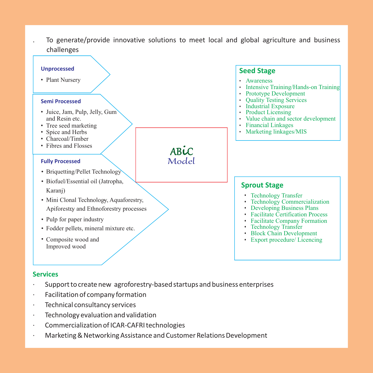challenges To generate/provide innovative solutions to meet local and global agriculture and business



#### **Services**

.

- Support to create new agroforestry-based startups and business enterprises
- Facilitation of company formation
- Technical consultancy services
- · Technology evaluation and validation
- · Commercialization of ICAR-CAFRI technologies
- · Marketing & Networking Assistance and Customer Relations Development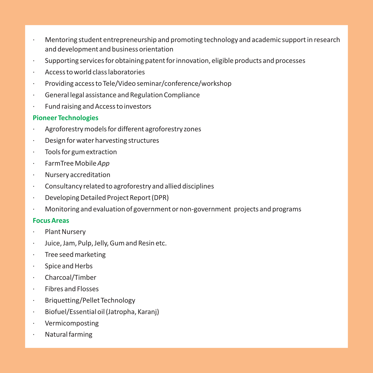- · Mentoring student entrepreneurship and promoting technology and academic support in research and development and business orientation
- · Supporting services for obtaining patent for innovation, eligible products and processes
- · Access to world class laboratories
- · Providing access to Tele/Video seminar/conference/workshop
- · General legal assistance and Regulation Compliance
- · Fund raising and Access to investors

#### **Pioneer Technologies**

- · Agroforestry models for different agroforestry zones
- · Design for water harvesting structures
- · Tools for gum extraction
- · FarmTree Mobile *App*
- · Nursery accreditation
- · Consultancy related to agroforestry and allied disciplines
- · Developing Detailed Project Report (DPR)
- · Monitoring and evaluation of government or non-government projects and programs

#### **Focus Areas**

- Plant Nursery
- · Juice, Jam, Pulp, Jelly, Gum and Resin etc.
- · Tree seed marketing
- · Spice and Herbs
- · Charcoal/Timber
- · Fibres and Flosses
- · Briquetting/Pellet Technology
- · Biofuel/Essential oil (Jatropha, Karanj)
- · Vermicomposting
- Natural farming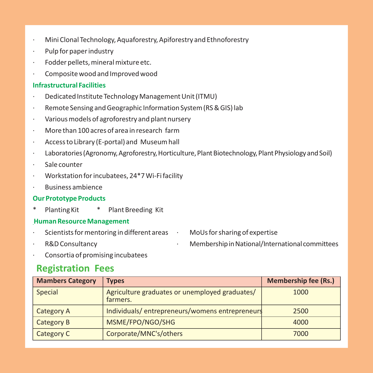- · Mini Clonal Technology, Aquaforestry, Apiforestry and Ethnoforestry
- Pulp for paper industry
- · Fodder pellets, mineral mixture etc.
- · Composite wood and Improved wood

#### **Infrastructural Facilities**

- · Dedicated Institute Technology Management Unit (ITMU)
- · Remote Sensing and Geographic Information System (RS & GIS) lab
- · Various models of agroforestry and plant nursery
- · More than 100 acres of area in research farm
- · Access to Library (E-portal) and Museum hall
- Laboratories (Agronomy, Agroforestry, Horticulture, Plant Biotechnology, Plant Physiology and Soil)
- · Sale counter
- Workstation for incubatees, 24\*7 Wi-Fi facility
- · Business ambience

## **Our Prototype Products**

\* Planting Kit \* Plant Breeding Kit

#### **Human Resource Management**

- Scientists for mentoring in different areas · MoUs for sharing of expertise
	-

- 
- · R&D Consultancy **· Consultancy** · Membership in National/International committees
- · Consortia of promising incubatees

# **Registration Fees**

| <b>Mambers Category</b> | <b>Types</b>                                               | <b>Membership fee (Rs.)</b> |
|-------------------------|------------------------------------------------------------|-----------------------------|
| Special                 | Agriculture graduates or unemployed graduates/<br>farmers. | 1000                        |
| Category A              | Individuals/entrepreneurs/womens entrepreneurs             | 2500                        |
| Category B              | MSME/FPO/NGO/SHG                                           | 4000                        |
| Category C              | Corporate/MNC's/others                                     | 7000                        |